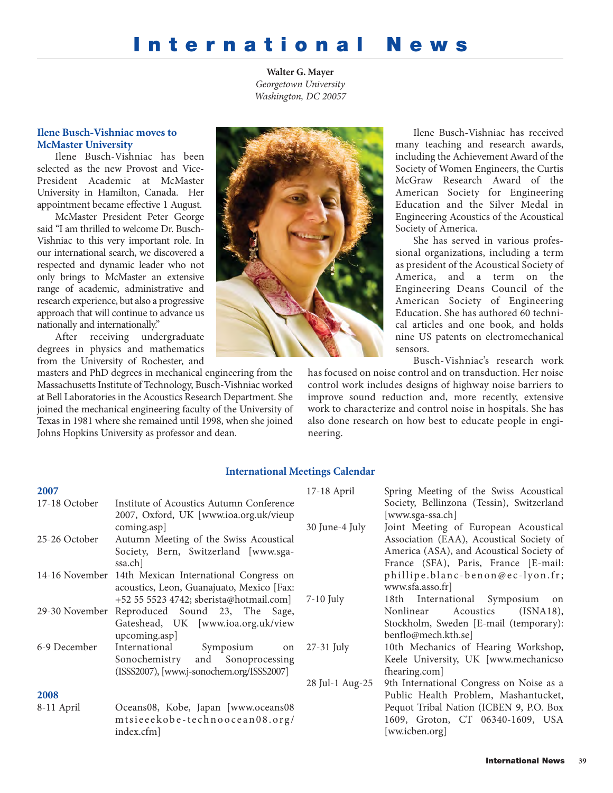## **International News**

**Walter G. Mayer** *Georgetown University Washington, DC 20057*

## **Ilene Busch-Vishniac moves to McMaster University**

Ilene Busch-Vishniac has been selected as the new Provost and Vice-President Academic at McMaster University in Hamilton, Canada. Her appointment became effective 1 August.

McMaster President Peter George said "I am thrilled to welcome Dr. Busch-Vishniac to this very important role. In our international search, we discovered a respected and dynamic leader who not only brings to McMaster an extensive range of academic, administrative and research experience, but also a progressive approach that will continue to advance us nationally and internationally."

After receiving undergraduate degrees in physics and mathematics from the University of Rochester, and

masters and PhD degrees in mechanical engineering from the Massachusetts Institute of Technology, Busch-Vishniac worked at Bell Laboratories in the Acoustics Research Department. She joined the mechanical engineering faculty of the University of Texas in 1981 where she remained until 1998, when she joined Johns Hopkins University as professor and dean.



Ilene Busch-Vishniac has received many teaching and research awards, including the Achievement Award of the Society of Women Engineers, the Curtis McGraw Research Award of the American Society for Engineering Education and the Silver Medal in Engineering Acoustics of the Acoustical Society of America.

She has served in various professional organizations, including a term as president of the Acoustical Society of America, and a term on the Engineering Deans Council of the American Society of Engineering Education. She has authored 60 technical articles and one book, and holds nine US patents on electromechanical sensors.

Busch-Vishniac's research work

has focused on noise control and on transduction. Her noise control work includes designs of highway noise barriers to improve sound reduction and, more recently, extensive work to characterize and control noise in hospitals. She has also done research on how best to educate people in engineering.

## **International Meetings Calendar**

| 2007          |                                                                                                                   | $17-18$ April   | Spring Meeting of the Swiss Acoustical                                                                                                |
|---------------|-------------------------------------------------------------------------------------------------------------------|-----------------|---------------------------------------------------------------------------------------------------------------------------------------|
| 17-18 October | Institute of Acoustics Autumn Conference<br>2007, Oxford, UK [www.ioa.org.uk/vieup                                |                 | Society, Bellinzona (Tessin), Switzerland<br>[www.sga-ssa.ch]                                                                         |
| 25-26 October | coming.asp]<br>Autumn Meeting of the Swiss Acoustical                                                             | 30 June-4 July  | Joint Meeting of European Acoustical<br>Association (EAA), Acoustical Society of                                                      |
|               | Society, Bern, Switzerland [www.sga-<br>ssa.ch]                                                                   |                 | America (ASA), and Acoustical Society of<br>France (SFA), Paris, France [E-mail:                                                      |
|               | 14-16 November 14th Mexican International Congress on<br>acoustics, Leon, Guanajuato, Mexico [Fax:                |                 | phillipe.blanc-benon@ec-lyon.fr;<br>www.sfa.asso.fr                                                                                   |
|               | +52 55 5523 4742; sberista@hotmail.com]                                                                           | $7-10$ July     | 18th International Symposium on                                                                                                       |
|               | 29-30 November Reproduced Sound 23, The Sage,<br>Gateshead, UK [www.ioa.org.uk/view<br>upcoming.asp]              |                 | Acoustics<br>(ISNA18),<br>Nonlinear<br>Stockholm, Sweden [E-mail (temporary):<br>benflo@mech.kth.se]                                  |
| 6-9 December  | International<br>Symposium on<br>and Sonoprocessing<br>Sonochemistry<br>(ISSS2007), [www.j-sonochem.org/ISSS2007] | 27-31 July      | 10th Mechanics of Hearing Workshop,<br>Keele University, UK [www.mechanicso<br>fhearing.com]                                          |
| 2008          |                                                                                                                   | 28 Jul-1 Aug-25 | 9th International Congress on Noise as a                                                                                              |
| 8-11 April    | Oceans08, Kobe, Japan [www.oceans08<br>mtsieeekobe-technoocean08.org/<br>index.cfm                                |                 | Public Health Problem, Mashantucket,<br>Pequot Tribal Nation (ICBEN 9, P.O. Box<br>1609, Groton, CT 06340-1609, USA<br>[ww.icben.org] |
|               |                                                                                                                   |                 |                                                                                                                                       |